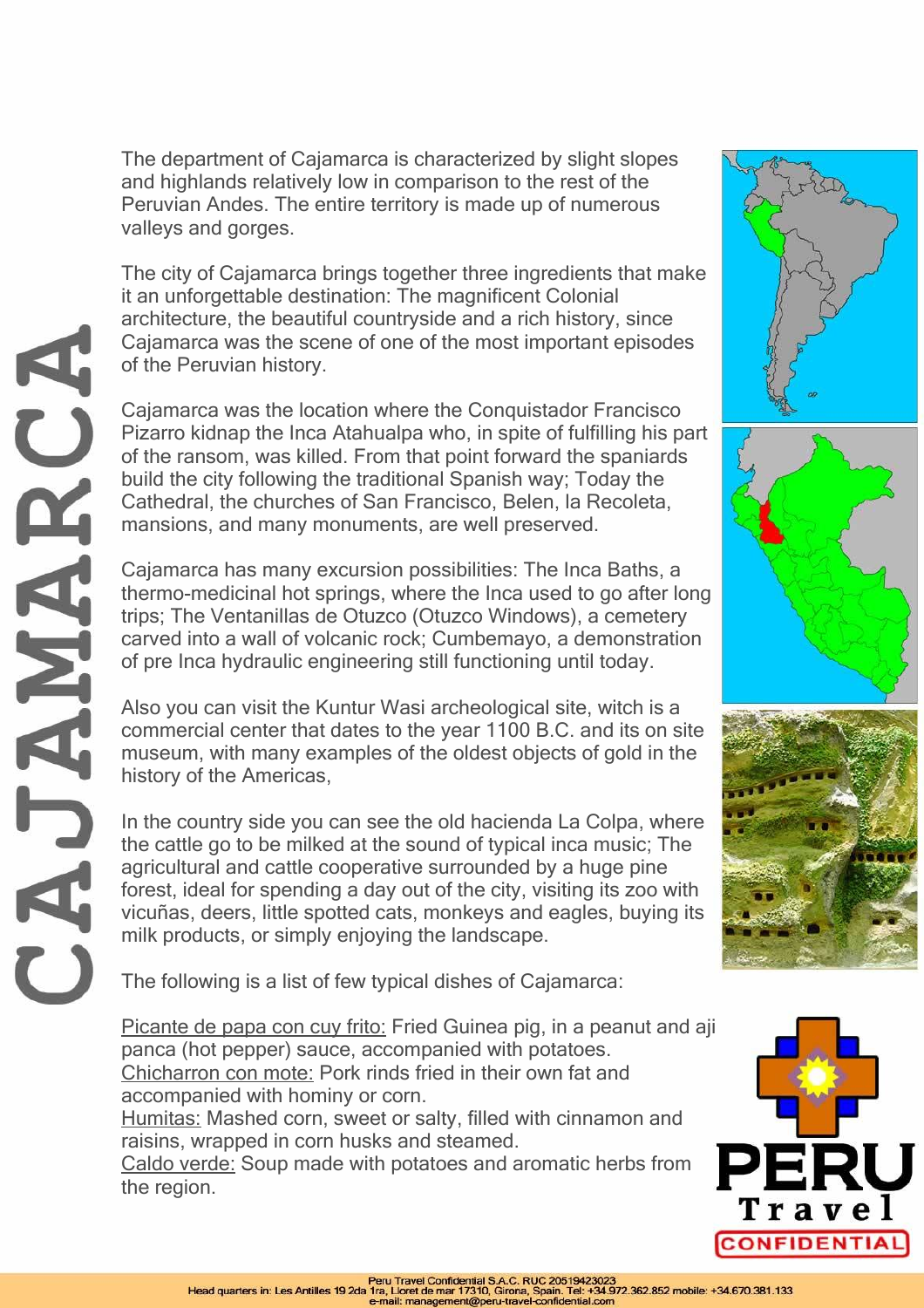The department of Cajamarca is characterized by slight slopes and highlands relatively low in comparison to the rest of the Peruvian Andes. The entire territory is made up of numerous valleys and gorges.

The city of Cajamarca brings together three ingredients that make it an unforgettable destination: The magnificent Colonial architecture, the beautiful countryside and a rich history, since Cajamarca was the scene of one of the most important episodes of the Peruvian history.

Cajamarca was the location where the Conquistador Francisco Pizarro kidnap the Inca Atahualpa who, in spite of fulfilling his part of the ransom, was killed. From that point forward the spaniards build the city following the traditional Spanish way; Today the Cathedral, the churches of San Francisco, Belen, la Recoleta, mansions, and many monuments, are well preserved.

Cajamarca has many excursion possibilities: The Inca Baths, a thermo-medicinal hot springs, where the Inca used to go after long trips; The Ventanillas de Otuzco (Otuzco Windows), a cemetery carved into a wall of volcanic rock; Cumbemayo, a demonstration of pre Inca hydraulic engineering still functioning until today.

Also you can visit the Kuntur Wasi archeological site, witch is a commercial center that dates to the year 1100 B.C. and its on site museum, with many examples of the oldest objects of gold in the history of the Americas,

In the country side you can see the old hacienda La Colpa, where the cattle go to be milked at the sound of typical inca music; The agricultural and cattle cooperative surrounded by a huge pine forest, ideal for spending a day out of the city, visiting its zoo with vicuñas, deers, little spotted cats, monkeys and eagles, buying its milk products, or simply enjoying the landscape.

The following is a list of few typical dishes of Cajamarca:

Picante de papa con cuy frito: Fried Guinea pig, in a peanut and aji panca (hot pepper) sauce, accompanied with potatoes. Chicharron con mote: Pork rinds fried in their own fat and accompanied with hominy or corn.

Humitas: Mashed corn, sweet or salty, filled with cinnamon and raisins, wrapped in corn husks and steamed.

Caldo verde: Soup made with potatoes and aromatic herbs from the region.









CAJAMARC